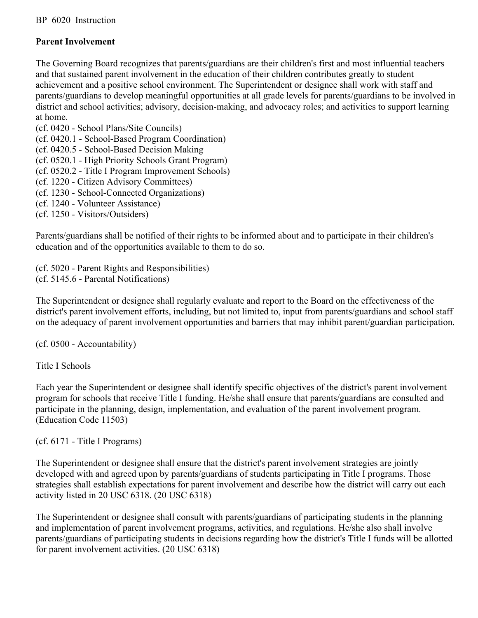## **Parent Involvement**

The Governing Board recognizes that parents/guardians are their children's first and most influential teachers and that sustained parent involvement in the education of their children contributes greatly to student achievement and a positive school environment. The Superintendent or designee shall work with staff and parents/guardians to develop meaningful opportunities at all grade levels for parents/guardians to be involved in district and school activities; advisory, decision-making, and advocacy roles; and activities to support learning at home.

- (cf. 0420 School Plans/Site Councils)
- (cf. 0420.1 School-Based Program Coordination)
- (cf. 0420.5 School-Based Decision Making
- (cf. 0520.1 High Priority Schools Grant Program)
- (cf. 0520.2 Title I Program Improvement Schools)
- (cf. 1220 Citizen Advisory Committees)
- (cf. 1230 School-Connected Organizations)
- (cf. 1240 Volunteer Assistance)
- (cf. 1250 Visitors/Outsiders)

Parents/guardians shall be notified of their rights to be informed about and to participate in their children's education and of the opportunities available to them to do so.

(cf. 5020 - Parent Rights and Responsibilities) (cf. 5145.6 - Parental Notifications)

The Superintendent or designee shall regularly evaluate and report to the Board on the effectiveness of the district's parent involvement efforts, including, but not limited to, input from parents/guardians and school staff on the adequacy of parent involvement opportunities and barriers that may inhibit parent/guardian participation.

(cf. 0500 - Accountability)

Title I Schools

Each year the Superintendent or designee shall identify specific objectives of the district's parent involvement program for schools that receive Title I funding. He/she shall ensure that parents/guardians are consulted and participate in the planning, design, implementation, and evaluation of the parent involvement program. (Education Code 11503)

(cf. 6171 - Title I Programs)

The Superintendent or designee shall ensure that the district's parent involvement strategies are jointly developed with and agreed upon by parents/guardians of students participating in Title I programs. Those strategies shall establish expectations for parent involvement and describe how the district will carry out each activity listed in 20 USC 6318. (20 USC 6318)

The Superintendent or designee shall consult with parents/guardians of participating students in the planning and implementation of parent involvement programs, activities, and regulations. He/she also shall involve parents/guardians of participating students in decisions regarding how the district's Title I funds will be allotted for parent involvement activities. (20 USC 6318)